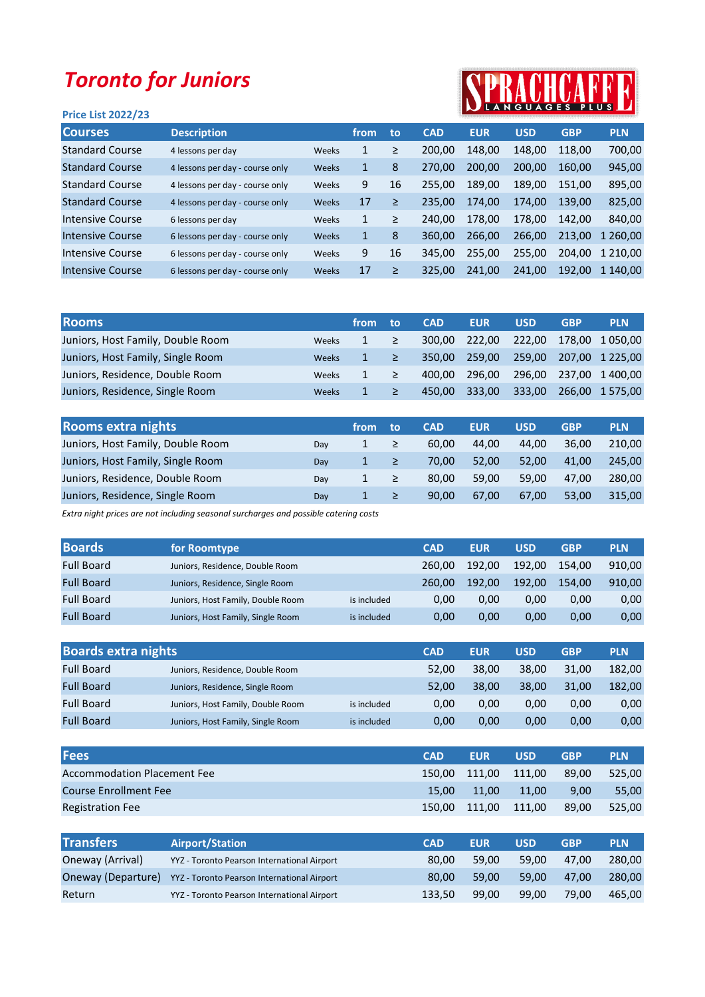## Toronto for Juniors

## Price List 2022/23



| <b>Courses</b>         | <b>Description</b>              |       | from | to | <b>CAD</b> | <b>EUR</b> | <b>USD</b> | <b>GBP</b> | <b>PLN</b>   |
|------------------------|---------------------------------|-------|------|----|------------|------------|------------|------------|--------------|
| <b>Standard Course</b> | 4 lessons per day               | Weeks |      | ≥  | 200.00     | 148.00     | 148.00     | 118.00     | 700,00       |
| <b>Standard Course</b> | 4 lessons per day - course only | Weeks |      | 8  | 270.00     | 200.00     | 200.00     | 160.00     | 945,00       |
| <b>Standard Course</b> | 4 lessons per day - course only | Weeks | 9    | 16 | 255,00     | 189.00     | 189.00     | 151.00     | 895,00       |
| <b>Standard Course</b> | 4 lessons per day - course only | Weeks | 17   | ≥  | 235,00     | 174.00     | 174.00     | 139.00     | 825,00       |
| Intensive Course       | 6 lessons per day               | Weeks | 1    | ≥  | 240.00     | 178.00     | 178.00     | 142.00     | 840.00       |
| Intensive Course       | 6 lessons per day - course only | Weeks | 1    | 8  | 360.00     | 266.00     | 266.00     | 213,00     | 1 260,00     |
| Intensive Course       | 6 lessons per day - course only | Weeks | 9    | 16 | 345.00     | 255,00     | 255,00     | 204.00     | 1 2 1 0 .0 0 |
| Intensive Course       | 6 lessons per day - course only | Weeks | 17   | ≥  | 325,00     | 241.00     | 241.00     | 192.00     | 1 140.00     |

| <b>Rooms</b>                      |              | from | to     | <b>CAD</b> | <b>EUR</b> | <b>USD</b> | <b>GBP</b> | <b>PLN</b>      |
|-----------------------------------|--------------|------|--------|------------|------------|------------|------------|-----------------|
| Juniors, Host Family, Double Room | <b>Weeks</b> |      | $\geq$ | 300.00     | 222.00     | 222.00     |            | 178.00 1050.00  |
| Juniors, Host Family, Single Room | <b>Weeks</b> |      | $\geq$ | 350.00     | 259.00     | 259.00     |            | 207,00 1 225,00 |
| Juniors, Residence, Double Room   | Weeks        |      | ≥      | 400.00     | 296.00     | 296.00     |            | 237.00 1 400.00 |
| Juniors, Residence, Single Room   | <b>Weeks</b> |      |        | 450.00     | 333,00     | 333,00     |            | 266,00 1 575,00 |

| <b>Rooms extra nights</b>         |     | from | to | <b>CAD</b> | <b>EUR</b> | <b>USD</b> | <b>GBP</b> | <b>PLN</b> |
|-----------------------------------|-----|------|----|------------|------------|------------|------------|------------|
| Juniors, Host Family, Double Room | Dav |      | ≥  | 60.00      | 44.00      | 44.00      | 36.00      | 210.00     |
| Juniors, Host Family, Single Room | Day |      | ≥  | 70.00      | 52.00      | 52.00      | 41.00      | 245.00     |
| Juniors, Residence, Double Room   | Dav |      |    | 80.00      | 59.00      | 59.00      | 47.00      | 280.00     |
| Juniors, Residence, Single Room   | Day |      |    | 90.00      | 67.00      | 67.00      | 53.00      | 315.00     |

Extra night prices are not including seasonal surcharges and possible catering costs

| <b>Boards</b>     | for Roomtype                      |             | <b>CAD</b> | <b>EUR</b> | <b>USD</b> | <b>GBP</b> | <b>PLN</b> |
|-------------------|-----------------------------------|-------------|------------|------------|------------|------------|------------|
| <b>Full Board</b> | Juniors, Residence, Double Room   |             | 260.00     | 192.00     | 192.00     | 154.00     | 910.00     |
| <b>Full Board</b> | Juniors, Residence, Single Room   |             | 260.00     | 192.00     | 192.00     | 154.00     | 910.00     |
| <b>Full Board</b> | Juniors, Host Family, Double Room | is included | 0.00       | 0.00       | 0.00       | 0.00       | 0,00       |
| <b>Full Board</b> | Juniors, Host Family, Single Room | is included | 0.00       | 0.00       | 0.00       | 0.00       | 0,00       |

| <b>Boards extra nights</b> |                                   |             | <b>CAD</b> | <b>EUR</b> | <b>USD</b> | <b>GBP</b> | <b>PLN</b> |
|----------------------------|-----------------------------------|-------------|------------|------------|------------|------------|------------|
| <b>Full Board</b>          | Juniors, Residence, Double Room   |             | 52.00      | 38.00      | 38.00      | 31.00      | 182.00     |
| <b>Full Board</b>          | Juniors, Residence, Single Room   |             | 52.00      | 38.00      | 38.00      | 31.00      | 182.00     |
| <b>Full Board</b>          | Juniors, Host Family, Double Room | is included | 0.00       | 0.00       | 0.00       | 0.00       | 0,00       |
| <b>Full Board</b>          | Juniors, Host Family, Single Room | is included | 0,00       | 0.00       | 0.00       | 0.00       | 0,00       |

| <b>Fees</b>                        | <b>CAD</b> | <b>EUR</b> | <b>USD</b> | <b>GBP</b> | <b>PLN</b> |
|------------------------------------|------------|------------|------------|------------|------------|
| <b>Accommodation Placement Fee</b> | 150.00     | 111,00     | 111,00     | 89.00      | 525.00     |
| <b>Course Enrollment Fee</b>       | 15.00      | 11,00      | 11,00      | 9,00       | 55,00      |
| <b>Registration Fee</b>            | 150.00     | 111.00     | 111,00     | 89.00      | 525.00     |
|                                    |            |            |            |            |            |

| <b>Transfers</b>   | <b>Airport/Station</b>                      | <b>CAD</b> | <b>EUR</b> | <b>USD</b> | <b>GBP</b> | <b>PLN</b> |
|--------------------|---------------------------------------------|------------|------------|------------|------------|------------|
| Oneway (Arrival)   | YYZ - Toronto Pearson International Airport | 80.00      | 59.00      | 59.00      | 47.00      | 280.00     |
| Oneway (Departure) | YYZ - Toronto Pearson International Airport | 80.00      | 59.00      | 59.00      | 47.00      | 280.00     |
| Return             | YYZ - Toronto Pearson International Airport | 133.50     | 99.00      | 99.00      | 79.00      | 465.00     |